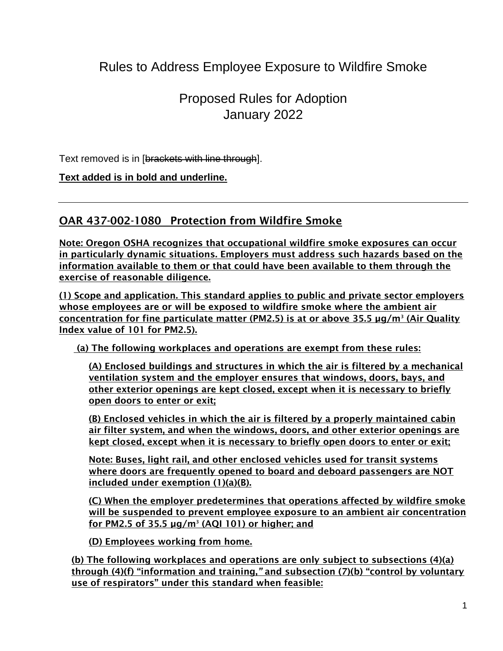# Rules to Address Employee Exposure to Wildfire Smoke

## Proposed Rules for Adoption January 2022

Text removed is in [brackets with line through].

**Text added is in bold and underline.**

## OAR 437-002-1080 Protection from Wildfire Smoke

Note: Oregon OSHA recognizes that occupational wildfire smoke exposures can occur in particularly dynamic situations. Employers must address such hazards based on the information available to them or that could have been available to them through the exercise of reasonable diligence.

(1) Scope and application. This standard applies to public and private sector employers whose employees are or will be exposed to wildfire smoke where the ambient air concentration for fine particulate matter (PM2.5) is at or above 35.5 µg/m<sup>3</sup> (Air Quality Index value of 101 for PM2.5).

(a) The following workplaces and operations are exempt from these rules:

(A) Enclosed buildings and structures in which the air is filtered by a mechanical ventilation system and the employer ensures that windows, doors, bays, and other exterior openings are kept closed, except when it is necessary to briefly open doors to enter or exit;

(B) Enclosed vehicles in which the air is filtered by a properly maintained cabin air filter system, and when the windows, doors, and other exterior openings are kept closed, except when it is necessary to briefly open doors to enter or exit;

Note: Buses, light rail, and other enclosed vehicles used for transit systems where doors are frequently opened to board and deboard passengers are NOT included under exemption (1)(a)(B).

(C) When the employer predetermines that operations affected by wildfire smoke will be suspended to prevent employee exposure to an ambient air concentration for PM2.5 of 35.5 µg/m<sup>3</sup> (AQI 101) or higher; and

(D) Employees working from home.

(b) The following workplaces and operations are only subject to subsections (4)(a) through (4)(f) "information and training,*"* and subsection (7)(b) "control by voluntary use of respirators" under this standard when feasible: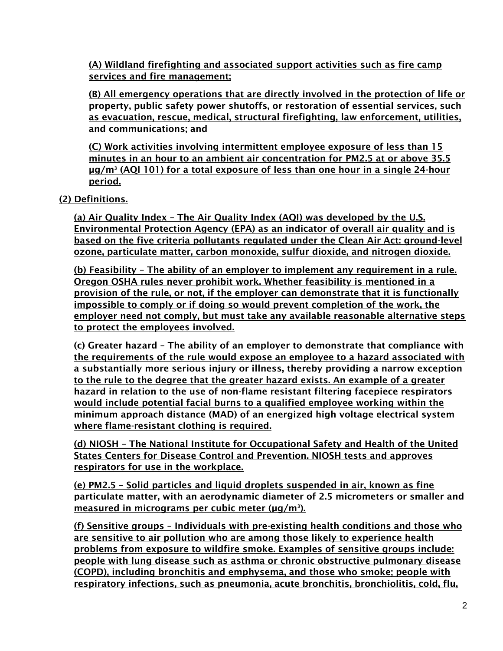(A) Wildland firefighting and associated support activities such as fire camp services and fire management;

(B) All emergency operations that are directly involved in the protection of life or property, public safety power shutoffs, or restoration of essential services, such as evacuation, rescue, medical, structural firefighting, law enforcement, utilities, and communications; and

(C) Work activities involving intermittent employee exposure of less than 15 minutes in an hour to an ambient air concentration for PM2.5 at or above 35.5 µg/m<sup>3</sup> (AQI 101) for a total exposure of less than one hour in a single 24-hour period.

(2) Definitions.

(a) Air Quality Index – The Air Quality Index (AQI) was developed by the U.S. Environmental Protection Agency (EPA) as an indicator of overall air quality and is based on the five criteria pollutants regulated under the Clean Air Act: ground-level ozone, particulate matter, carbon monoxide, sulfur dioxide, and nitrogen dioxide.

(b) Feasibility – The ability of an employer to implement any requirement in a rule. Oregon OSHA rules never prohibit work. Whether feasibility is mentioned in a provision of the rule, or not, if the employer can demonstrate that it is functionally impossible to comply or if doing so would prevent completion of the work, the employer need not comply, but must take any available reasonable alternative steps to protect the employees involved.

(c) Greater hazard – The ability of an employer to demonstrate that compliance with the requirements of the rule would expose an employee to a hazard associated with a substantially more serious injury or illness, thereby providing a narrow exception to the rule to the degree that the greater hazard exists. An example of a greater hazard in relation to the use of non-flame resistant filtering facepiece respirators would include potential facial burns to a qualified employee working within the minimum approach distance (MAD) of an energized high voltage electrical system where flame-resistant clothing is required.

(d) NIOSH – The National Institute for Occupational Safety and Health of the United States Centers for Disease Control and Prevention. NIOSH tests and approves respirators for use in the workplace.

(e) PM2.5 – Solid particles and liquid droplets suspended in air, known as fine particulate matter, with an aerodynamic diameter of 2.5 micrometers or smaller and <u>measured in micrograms per cubic meter (µq/m3).</u>

(f) Sensitive groups – Individuals with pre-existing health conditions and those who are sensitive to air pollution who are among those likely to experience health problems from exposure to wildfire smoke. Examples of sensitive groups include: people with lung disease such as asthma or chronic obstructive pulmonary disease (COPD), including bronchitis and emphysema, and those who smoke; people with respiratory infections, such as pneumonia, acute bronchitis, bronchiolitis, cold, flu,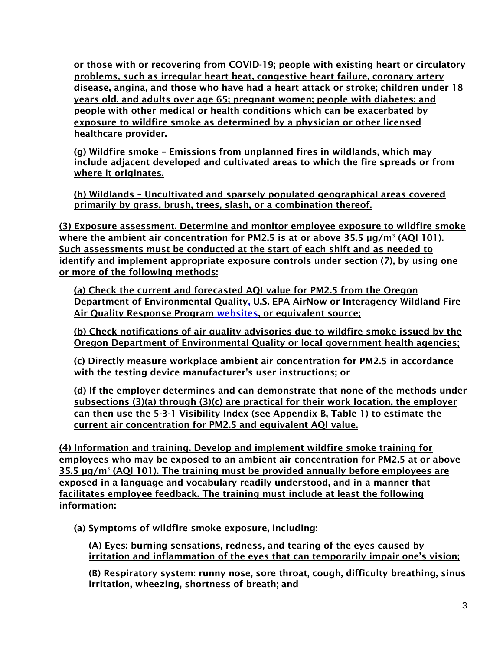or those with or recovering from COVID-19; people with existing heart or circulatory problems, such as irregular heart beat, congestive heart failure, coronary artery disease, angina, and those who have had a heart attack or stroke; children under 18 years old, and adults over age 65; pregnant women; people with diabetes; and people with other medical or health conditions which can be exacerbated by exposure to wildfire smoke as determined by a physician or other licensed healthcare provider.

(g) Wildfire smoke – Emissions from unplanned fires in wildlands, which may include adjacent developed and cultivated areas to which the fire spreads or from where it originates.

(h) Wildlands – Uncultivated and sparsely populated geographical areas covered primarily by grass, brush, trees, slash, or a combination thereof.

(3) Exposure assessment. Determine and monitor employee exposure to wildfire smoke where the ambient air concentration for PM2.5 is at or above 35.5 µg/m<sup>3</sup> (AQI 101). Such assessments must be conducted at the start of each shift and as needed to identify and implement appropriate exposure controls under section (7), by using one or more of the following methods:

(a) Check the current and forecasted AQI value for PM2.5 from the Oregon Department of Environmental Quality, U.S. EPA AirNow or Interagency Wildland Fire Air Quality Response Program websites, or equivalent source;

(b) Check notifications of air quality advisories due to wildfire smoke issued by the Oregon Department of Environmental Quality or local government health agencies;

(c) Directly measure workplace ambient air concentration for PM2.5 in accordance with the testing device manufacturer's user instructions; or

(d) If the employer determines and can demonstrate that none of the methods under subsections (3)(a) through (3)(c) are practical for their work location, the employer can then use the 5-3-1 Visibility Index (see Appendix B, Table 1) to estimate the current air concentration for PM2.5 and equivalent AQI value.

(4) Information and training. Develop and implement wildfire smoke training for employees who may be exposed to an ambient air concentration for PM2.5 at or above 35.5 µg/m<sup>3</sup> (AQI 101). The training must be provided annually before employees are exposed in a language and vocabulary readily understood, and in a manner that facilitates employee feedback. The training must include at least the following information:

(a) Symptoms of wildfire smoke exposure, including:

(A) Eyes: burning sensations, redness, and tearing of the eyes caused by irritation and inflammation of the eyes that can temporarily impair one's vision;

(B) Respiratory system: runny nose, sore throat, cough, difficulty breathing, sinus irritation, wheezing, shortness of breath; and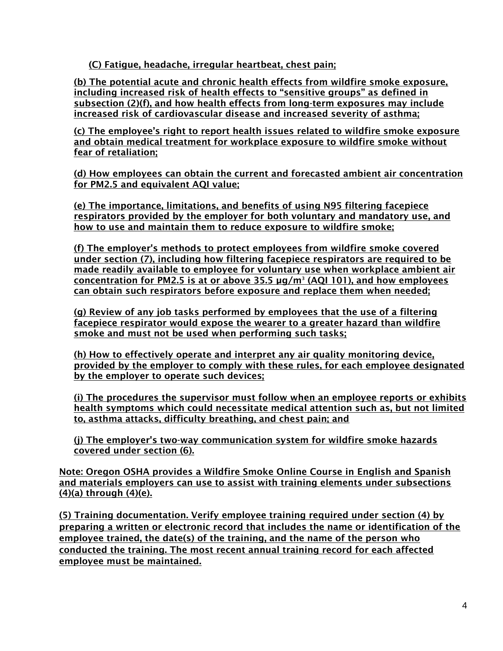(C) Fatigue, headache, irregular heartbeat, chest pain;

(b) The potential acute and chronic health effects from wildfire smoke exposure, including increased risk of health effects to "sensitive groups" as defined in subsection (2)(f), and how health effects from long-term exposures may include increased risk of cardiovascular disease and increased severity of asthma;

(c) The employee's right to report health issues related to wildfire smoke exposure and obtain medical treatment for workplace exposure to wildfire smoke without fear of retaliation;

(d) How employees can obtain the current and forecasted ambient air concentration for PM2.5 and equivalent AQI value;

(e) The importance, limitations, and benefits of using N95 filtering facepiece respirators provided by the employer for both voluntary and mandatory use, and how to use and maintain them to reduce exposure to wildfire smoke;

(f) The employer's methods to protect employees from wildfire smoke covered under section (7), including how filtering facepiece respirators are required to be made readily available to employee for voluntary use when workplace ambient air concentration for PM2.5 is at or above 35.5 µg/m<sup>3</sup> (AQI 101), and how employees can obtain such respirators before exposure and replace them when needed;

(g) Review of any job tasks performed by employees that the use of a filtering facepiece respirator would expose the wearer to a greater hazard than wildfire smoke and must not be used when performing such tasks;

(h) How to effectively operate and interpret any air quality monitoring device, provided by the employer to comply with these rules, for each employee designated by the employer to operate such devices;

(i) The procedures the supervisor must follow when an employee reports or exhibits health symptoms which could necessitate medical attention such as, but not limited to, asthma attacks, difficulty breathing, and chest pain; and

(j) The employer's two-way communication system for wildfire smoke hazards covered under section (6).

Note: Oregon OSHA provides a Wildfire Smoke Online Course in English and Spanish and materials employers can use to assist with training elements under subsections (4)(a) through (4)(e).

(5) Training documentation. Verify employee training required under section (4) by preparing a written or electronic record that includes the name or identification of the employee trained, the date(s) of the training, and the name of the person who conducted the training. The most recent annual training record for each affected employee must be maintained.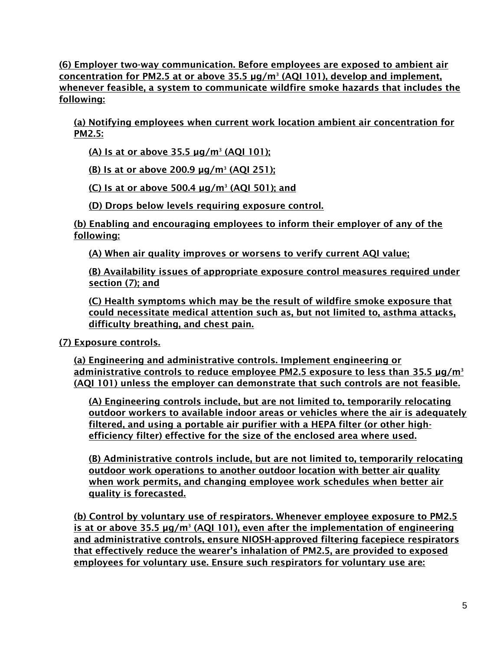(6) Employer two-way communication. Before employees are exposed to ambient air concentration for PM2.5 at or above 35.5 µg/m<sup>3</sup> (AQI 101), develop and implement, whenever feasible, a system to communicate wildfire smoke hazards that includes the following:

(a) Notifying employees when current work location ambient air concentration for PM2.5:

(A) Is at or above 35.5 µg/m<sup>3</sup> (AQI 101);

(B) Is at or above 200.9 µg/m<sup>3</sup> (AQI 251);

(C) Is at or above 500.4  $\mu$ g/m<sup>3</sup> (AQI 501); and

(D) Drops below levels requiring exposure control.

(b) Enabling and encouraging employees to inform their employer of any of the following:

(A) When air quality improves or worsens to verify current AQI value;

(B) Availability issues of appropriate exposure control measures required under section (7); and

(C) Health symptoms which may be the result of wildfire smoke exposure that could necessitate medical attention such as, but not limited to, asthma attacks, difficulty breathing, and chest pain.

(7) Exposure controls.

(a) Engineering and administrative controls. Implement engineering or administrative controls to reduce employee PM2.5 exposure to less than 35.5  $\mu q/m^3$ (AQI 101) unless the employer can demonstrate that such controls are not feasible.

(A) Engineering controls include, but are not limited to, temporarily relocating outdoor workers to available indoor areas or vehicles where the air is adequately filtered, and using a portable air purifier with a HEPA filter (or other highefficiency filter) effective for the size of the enclosed area where used.

(B) Administrative controls include, but are not limited to, temporarily relocating outdoor work operations to another outdoor location with better air quality when work permits, and changing employee work schedules when better air quality is forecasted.

(b) Control by voluntary use of respirators. Whenever employee exposure to PM2.5 is at or above 35.5 µg/m<sup>3</sup> (AQI 101), even after the implementation of engineering and administrative controls, ensure NIOSH-approved filtering facepiece respirators that effectively reduce the wearer's inhalation of PM2.5, are provided to exposed employees for voluntary use. Ensure such respirators for voluntary use are: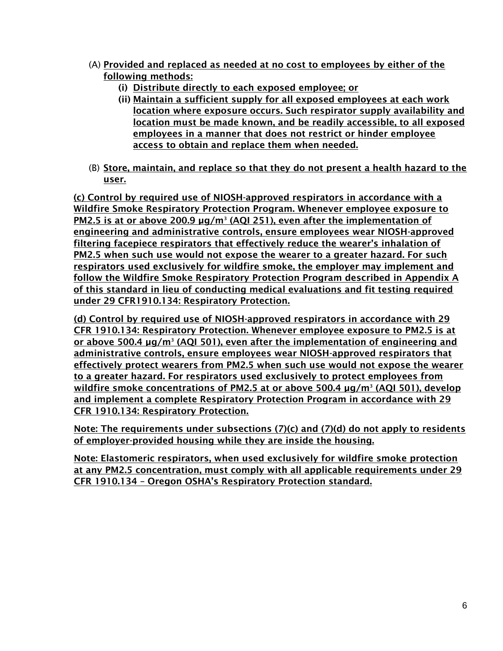- (A) Provided and replaced as needed at no cost to employees by either of the following methods:
	- (i) Distribute directly to each exposed employee; or
	- (ii) Maintain a sufficient supply for all exposed employees at each work location where exposure occurs. Such respirator supply availability and location must be made known, and be readily accessible, to all exposed employees in a manner that does not restrict or hinder employee access to obtain and replace them when needed.
- (B) Store, maintain, and replace so that they do not present a health hazard to the user.

(c) Control by required use of NIOSH-approved respirators in accordance with a Wildfire Smoke Respiratory Protection Program. Whenever employee exposure to PM2.5 is at or above 200.9 µg/m<sup>3</sup> (AQI 251), even after the implementation of engineering and administrative controls, ensure employees wear NIOSH-approved filtering facepiece respirators that effectively reduce the wearer's inhalation of PM2.5 when such use would not expose the wearer to a greater hazard. For such respirators used exclusively for wildfire smoke, the employer may implement and follow the Wildfire Smoke Respiratory Protection Program described in Appendix A of this standard in lieu of conducting medical evaluations and fit testing required under 29 CFR1910.134: Respiratory Protection.

(d) Control by required use of NIOSH-approved respirators in accordance with 29 CFR 1910.134: Respiratory Protection. Whenever employee exposure to PM2.5 is at or above 500.4 µg/m<sup>3</sup> (AQI 501), even after the implementation of engineering and administrative controls, ensure employees wear NIOSH-approved respirators that effectively protect wearers from PM2.5 when such use would not expose the wearer to a greater hazard. For respirators used exclusively to protect employees from wildfire smoke concentrations of PM2.5 at or above 500.4 µg/m<sup>3</sup> (AQI 501), develop and implement a complete Respiratory Protection Program in accordance with 29 CFR 1910.134: Respiratory Protection.

Note: The requirements under subsections (7)(c) and (7)(d) do not apply to residents of employer-provided housing while they are inside the housing.

Note: Elastomeric respirators, when used exclusively for wildfire smoke protection at any PM2.5 concentration, must comply with all applicable requirements under 29 CFR 1910.134 – Oregon OSHA's Respiratory Protection standard.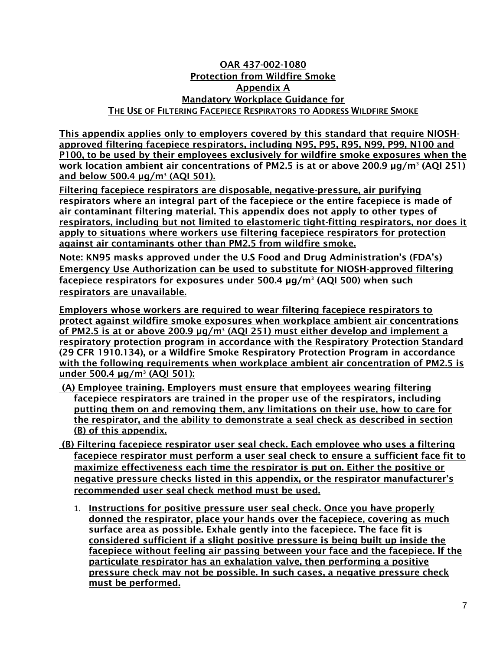### OAR 437-002-1080 Protection from Wildfire Smoke Appendix A Mandatory Workplace Guidance for THE USE OF FILTERING FACEPIECE RESPIRATORS TO ADDRESS WILDFIRE SMOKE

This appendix applies only to employers covered by this standard that require NIOSHapproved filtering facepiece respirators, including N95, P95, R95, N99, P99, N100 and P100, to be used by their employees exclusively for wildfire smoke exposures when the work location ambient air concentrations of PM2.5 is at or above 200.9 µg/m<sup>3</sup> (AQI 251) and below 500.4 µg/m<sup>3</sup> (AQI 501).

Filtering facepiece respirators are disposable, negative-pressure, air purifying respirators where an integral part of the facepiece or the entire facepiece is made of air contaminant filtering material. This appendix does not apply to other types of respirators, including but not limited to elastomeric tight-fitting respirators, nor does it apply to situations where workers use filtering facepiece respirators for protection against air contaminants other than PM2.5 from wildfire smoke.

Note: KN95 masks approved under the U.S Food and Drug Administration's (FDA's) Emergency Use Authorization can be used to substitute for NIOSH-approved filtering facepiece respirators for exposures under 500.4 µg/m<sup>3</sup> (AQI 500) when such respirators are unavailable.

Employers whose workers are required to wear filtering facepiece respirators to protect against wildfire smoke exposures when workplace ambient air concentrations of PM2.5 is at or above 200.9 µg/m<sup>3</sup> (AQI 251) must either develop and implement a respiratory protection program in accordance with the Respiratory Protection Standard (29 CFR 1910.134), or a Wildfire Smoke Respiratory Protection Program in accordance with the following requirements when workplace ambient air concentration of PM2.5 is under 500.4 µg/m<sup>3</sup> (AQI 501):

- (A) Employee training. Employers must ensure that employees wearing filtering facepiece respirators are trained in the proper use of the respirators, including putting them on and removing them, any limitations on their use, how to care for the respirator, and the ability to demonstrate a seal check as described in section (B) of this appendix.
- (B) Filtering facepiece respirator user seal check. Each employee who uses a filtering facepiece respirator must perform a user seal check to ensure a sufficient face fit to maximize effectiveness each time the respirator is put on. Either the positive or negative pressure checks listed in this appendix, or the respirator manufacturer's recommended user seal check method must be used.
	- 1. Instructions for positive pressure user seal check. Once you have properly donned the respirator, place your hands over the facepiece, covering as much surface area as possible. Exhale gently into the facepiece. The face fit is considered sufficient if a slight positive pressure is being built up inside the facepiece without feeling air passing between your face and the facepiece. If the particulate respirator has an exhalation valve, then performing a positive pressure check may not be possible. In such cases, a negative pressure check must be performed.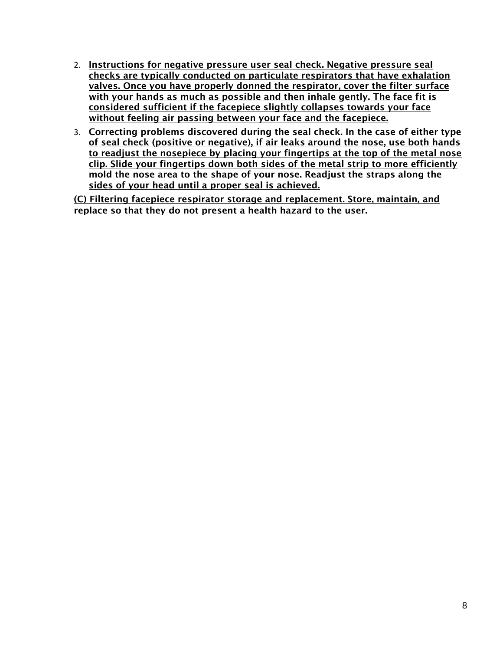- 2. Instructions for negative pressure user seal check. Negative pressure seal checks are typically conducted on particulate respirators that have exhalation valves. Once you have properly donned the respirator, cover the filter surface with your hands as much as possible and then inhale gently. The face fit is considered sufficient if the facepiece slightly collapses towards your face without feeling air passing between your face and the facepiece.
- 3. Correcting problems discovered during the seal check. In the case of either type of seal check (positive or negative), if air leaks around the nose, use both hands to readjust the nosepiece by placing your fingertips at the top of the metal nose clip. Slide your fingertips down both sides of the metal strip to more efficiently mold the nose area to the shape of your nose. Readjust the straps along the sides of your head until a proper seal is achieved.

(C) Filtering facepiece respirator storage and replacement. Store, maintain, and replace so that they do not present a health hazard to the user.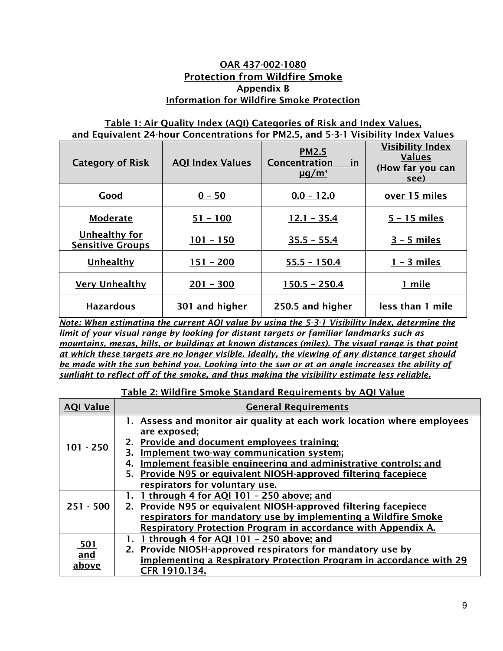### OAR 437-002-1080 Protection from Wildfire Smoke Appendix B Information for Wildfire Smoke Protection

### Table 1: Air Quality Index (AQI) Categories of Risk and Index Values, and Equivalent 24-hour Concentrations for PM2.5, and 5-3-1 Visibility Index Values

| <b>Category of Risk</b>                  | <b>AQI Index Values</b> | <b>PM2.5</b><br>Concentration<br>in<br>$\mu$ g/m <sup>3</sup> | <b>Visibility Index</b><br><b>Values</b><br>(How far you can<br>see) |
|------------------------------------------|-------------------------|---------------------------------------------------------------|----------------------------------------------------------------------|
| Good                                     | $0 - 50$                | $0.0 - 12.0$                                                  | over 15 miles                                                        |
| <b>Moderate</b>                          | $51 - 100$              | $12.1 - 35.4$                                                 | $5 - 15$ miles                                                       |
| Unhealthy for<br><b>Sensitive Groups</b> | $101 - 150$             | $35.5 - 55.4$                                                 | $3 - 5$ miles                                                        |
| Unhealthy                                | $151 - 200$             | $55.5 - 150.4$                                                | $1 - 3$ miles                                                        |
| <b>Very Unhealthy</b>                    | $201 - 300$             | $150.5 - 250.4$                                               | 1 mile                                                               |
| <b>Hazardous</b>                         | 301 and higher          | 250.5 and higher                                              | less than 1 mile                                                     |

*Note: When estimating the current AQI value by using the 5-3-1 Visibility Index, determine the limit of your visual range by looking for distant targets or familiar landmarks such as mountains, mesas, hills, or buildings at known distances (miles). The visual range is that point at which these targets are no longer visible. Ideally, the viewing of any distance target should be made with the sun behind you. Looking into the sun or at an angle increases the ability of sunlight to reflect off of the smoke, and thus making the visibility estimate less reliable.*

### Table 2: Wildfire Smoke Standard Requirements by AQI Value

| <b>AQI Value</b>    | <b>General Requirements</b>                                                                                                                                                                                                                                                                                                                                            |
|---------------------|------------------------------------------------------------------------------------------------------------------------------------------------------------------------------------------------------------------------------------------------------------------------------------------------------------------------------------------------------------------------|
| $101 - 250$         | 1. Assess and monitor air quality at each work location where employees<br><u>are exposed;</u><br>2. Provide and document employees training;<br>Implement two-way communication system;<br>3.<br>Implement feasible engineering and administrative controls; and<br>5. Provide N95 or equivalent NIOSH-approved filtering facepiece<br>respirators for voluntary use. |
| $251 - 500$         | 1 through 4 for AQI 101 - 250 above; and<br>2. Provide N95 or equivalent NIOSH-approved filtering facepiece<br>respirators for mandatory use by implementing a Wildfire Smoke<br>Respiratory Protection Program in accordance with Appendix A.                                                                                                                         |
| 501<br>and<br>above | 1 through 4 for AQI 101 - 250 above; and<br>2. Provide NIOSH-approved respirators for mandatory use by<br>implementing a Respiratory Protection Program in accordance with 29<br>CFR 1910.134.                                                                                                                                                                         |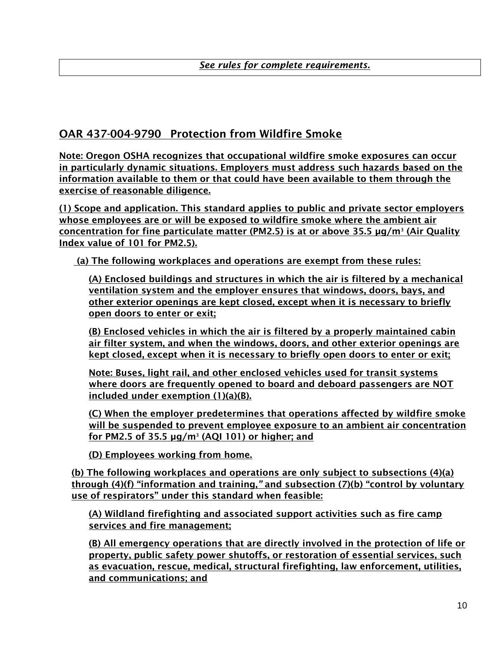### OAR 437-004-9790 Protection from Wildfire Smoke

Note: Oregon OSHA recognizes that occupational wildfire smoke exposures can occur in particularly dynamic situations. Employers must address such hazards based on the information available to them or that could have been available to them through the exercise of reasonable diligence.

(1) Scope and application. This standard applies to public and private sector employers whose employees are or will be exposed to wildfire smoke where the ambient air concentration for fine particulate matter (PM2.5) is at or above 35.5 µg/m<sup>3</sup> (Air Quality Index value of 101 for PM2.5).

(a) The following workplaces and operations are exempt from these rules:

(A) Enclosed buildings and structures in which the air is filtered by a mechanical ventilation system and the employer ensures that windows, doors, bays, and other exterior openings are kept closed, except when it is necessary to briefly open doors to enter or exit;

(B) Enclosed vehicles in which the air is filtered by a properly maintained cabin air filter system, and when the windows, doors, and other exterior openings are kept closed, except when it is necessary to briefly open doors to enter or exit;

Note: Buses, light rail, and other enclosed vehicles used for transit systems where doors are frequently opened to board and deboard passengers are NOT included under exemption (1)(a)(B).

(C) When the employer predetermines that operations affected by wildfire smoke will be suspended to prevent employee exposure to an ambient air concentration for PM2.5 of 35.5 µg/m<sup>3</sup> (AQI 101) or higher; and

(D) Employees working from home.

(b) The following workplaces and operations are only subject to subsections (4)(a) through (4)(f) "information and training,*"* and subsection (7)(b) "control by voluntary use of respirators" under this standard when feasible:

(A) Wildland firefighting and associated support activities such as fire camp services and fire management;

(B) All emergency operations that are directly involved in the protection of life or property, public safety power shutoffs, or restoration of essential services, such as evacuation, rescue, medical, structural firefighting, law enforcement, utilities, and communications; and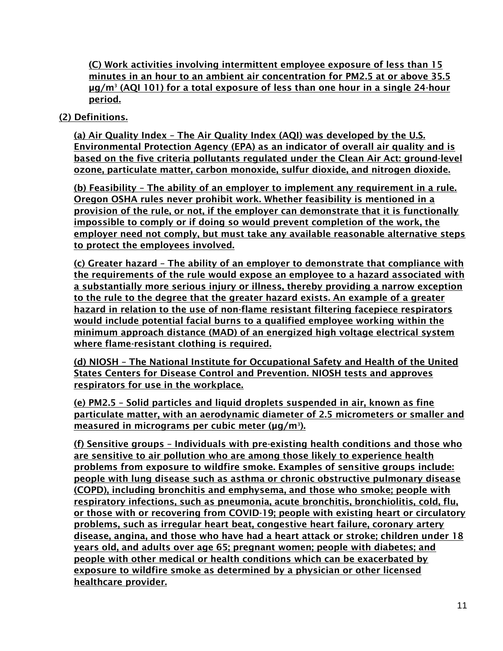(C) Work activities involving intermittent employee exposure of less than 15 minutes in an hour to an ambient air concentration for PM2.5 at or above 35.5 µg/m<sup>3</sup> (AQI 101) for a total exposure of less than one hour in a single 24-hour period.

### (2) Definitions.

(a) Air Quality Index – The Air Quality Index (AQI) was developed by the U.S. Environmental Protection Agency (EPA) as an indicator of overall air quality and is based on the five criteria pollutants regulated under the Clean Air Act: ground-level ozone, particulate matter, carbon monoxide, sulfur dioxide, and nitrogen dioxide.

(b) Feasibility – The ability of an employer to implement any requirement in a rule. Oregon OSHA rules never prohibit work. Whether feasibility is mentioned in a provision of the rule, or not, if the employer can demonstrate that it is functionally impossible to comply or if doing so would prevent completion of the work, the employer need not comply, but must take any available reasonable alternative steps to protect the employees involved.

(c) Greater hazard – The ability of an employer to demonstrate that compliance with the requirements of the rule would expose an employee to a hazard associated with a substantially more serious injury or illness, thereby providing a narrow exception to the rule to the degree that the greater hazard exists. An example of a greater hazard in relation to the use of non-flame resistant filtering facepiece respirators would include potential facial burns to a qualified employee working within the minimum approach distance (MAD) of an energized high voltage electrical system where flame-resistant clothing is required.

(d) NIOSH – The National Institute for Occupational Safety and Health of the United States Centers for Disease Control and Prevention. NIOSH tests and approves respirators for use in the workplace.

(e) PM2.5 – Solid particles and liquid droplets suspended in air, known as fine particulate matter, with an aerodynamic diameter of 2.5 micrometers or smaller and <u>measured in micrograms per cubic meter (µg/m3).</u>

(f) Sensitive groups – Individuals with pre-existing health conditions and those who are sensitive to air pollution who are among those likely to experience health problems from exposure to wildfire smoke. Examples of sensitive groups include: people with lung disease such as asthma or chronic obstructive pulmonary disease (COPD), including bronchitis and emphysema, and those who smoke; people with respiratory infections, such as pneumonia, acute bronchitis, bronchiolitis, cold, flu, or those with or recovering from COVID-19; people with existing heart or circulatory problems, such as irregular heart beat, congestive heart failure, coronary artery disease, angina, and those who have had a heart attack or stroke; children under 18 years old, and adults over age 65; pregnant women; people with diabetes; and people with other medical or health conditions which can be exacerbated by exposure to wildfire smoke as determined by a physician or other licensed healthcare provider.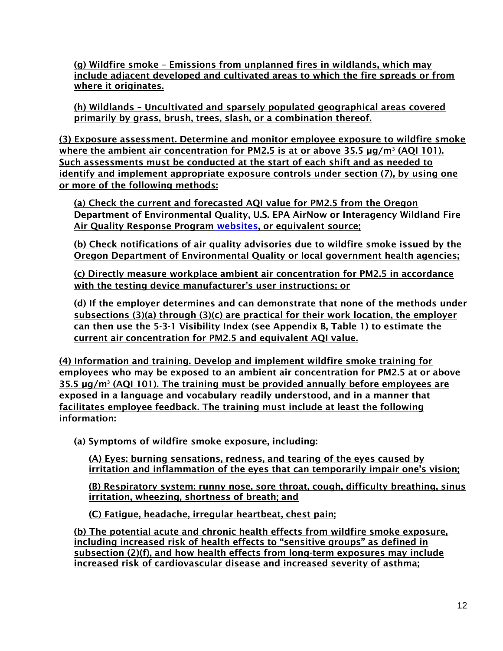(g) Wildfire smoke – Emissions from unplanned fires in wildlands, which may include adjacent developed and cultivated areas to which the fire spreads or from where it originates.

(h) Wildlands – Uncultivated and sparsely populated geographical areas covered primarily by grass, brush, trees, slash, or a combination thereof.

(3) Exposure assessment. Determine and monitor employee exposure to wildfire smoke where the ambient air concentration for PM2.5 is at or above 35.5 µg/m<sup>3</sup> (AQI 101). Such assessments must be conducted at the start of each shift and as needed to identify and implement appropriate exposure controls under section (7), by using one or more of the following methods:

(a) Check the current and forecasted AQI value for PM2.5 from the Oregon Department of Environmental Quality, U.S. EPA AirNow or Interagency Wildland Fire Air Quality Response Program websites, or equivalent source;

(b) Check notifications of air quality advisories due to wildfire smoke issued by the Oregon Department of Environmental Quality or local government health agencies;

(c) Directly measure workplace ambient air concentration for PM2.5 in accordance with the testing device manufacturer's user instructions; or

(d) If the employer determines and can demonstrate that none of the methods under subsections (3)(a) through (3)(c) are practical for their work location, the employer can then use the 5-3-1 Visibility Index (see Appendix B, Table 1) to estimate the current air concentration for PM2.5 and equivalent AQI value.

(4) Information and training. Develop and implement wildfire smoke training for employees who may be exposed to an ambient air concentration for PM2.5 at or above 35.5 µg/m<sup>3</sup> (AQI 101). The training must be provided annually before employees are exposed in a language and vocabulary readily understood, and in a manner that facilitates employee feedback. The training must include at least the following information:

(a) Symptoms of wildfire smoke exposure, including:

(A) Eyes: burning sensations, redness, and tearing of the eyes caused by irritation and inflammation of the eyes that can temporarily impair one's vision;

(B) Respiratory system: runny nose, sore throat, cough, difficulty breathing, sinus irritation, wheezing, shortness of breath; and

(C) Fatigue, headache, irregular heartbeat, chest pain;

(b) The potential acute and chronic health effects from wildfire smoke exposure, including increased risk of health effects to "sensitive groups" as defined in subsection (2)(f), and how health effects from long-term exposures may include increased risk of cardiovascular disease and increased severity of asthma;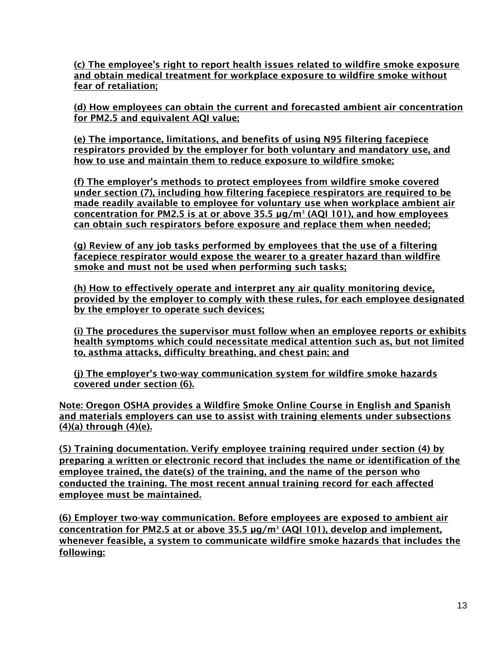(c) The employee's right to report health issues related to wildfire smoke exposure and obtain medical treatment for workplace exposure to wildfire smoke without fear of retaliation;

(d) How employees can obtain the current and forecasted ambient air concentration for PM2.5 and equivalent AQI value;

(e) The importance, limitations, and benefits of using N95 filtering facepiece respirators provided by the employer for both voluntary and mandatory use, and how to use and maintain them to reduce exposure to wildfire smoke;

(f) The employer's methods to protect employees from wildfire smoke covered under section (7), including how filtering facepiece respirators are required to be made readily available to employee for voluntary use when workplace ambient air concentration for PM2.5 is at or above 35.5 µg/m<sup>3</sup> (AQI 101), and how employees can obtain such respirators before exposure and replace them when needed;

(g) Review of any job tasks performed by employees that the use of a filtering facepiece respirator would expose the wearer to a greater hazard than wildfire smoke and must not be used when performing such tasks;

(h) How to effectively operate and interpret any air quality monitoring device, provided by the employer to comply with these rules, for each employee designated by the employer to operate such devices;

(i) The procedures the supervisor must follow when an employee reports or exhibits health symptoms which could necessitate medical attention such as, but not limited to, asthma attacks, difficulty breathing, and chest pain; and

(j) The employer's two-way communication system for wildfire smoke hazards covered under section (6).

Note: Oregon OSHA provides a Wildfire Smoke Online Course in English and Spanish and materials employers can use to assist with training elements under subsections (4)(a) through (4)(e).

(5) Training documentation. Verify employee training required under section (4) by preparing a written or electronic record that includes the name or identification of the employee trained, the date(s) of the training, and the name of the person who conducted the training. The most recent annual training record for each affected employee must be maintained.

(6) Employer two-way communication. Before employees are exposed to ambient air concentration for PM2.5 at or above 35.5 µg/m<sup>3</sup> (AQI 101), develop and implement, whenever feasible, a system to communicate wildfire smoke hazards that includes the following: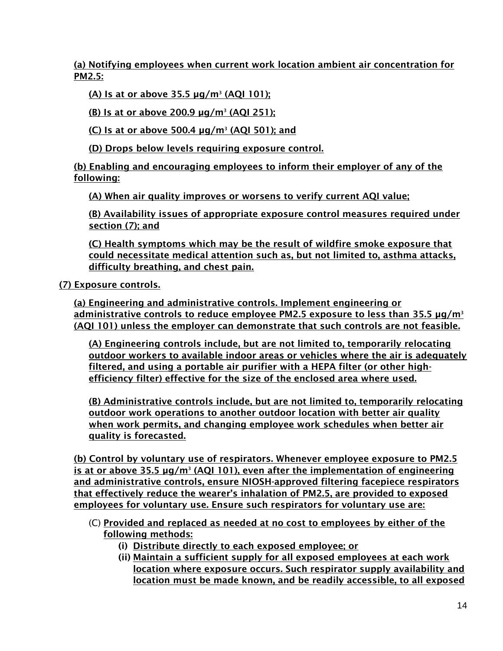(a) Notifying employees when current work location ambient air concentration for PM2.5:

(A) Is at or above 35.5 µg/m<sup>3</sup> (AQI 101);

(B) Is at or above 200.9 µg/m<sup>3</sup> (AQI 251);

(C) Is at or above 500.4  $\mu$ g/m<sup>3</sup> (AQI 501); and

(D) Drops below levels requiring exposure control.

(b) Enabling and encouraging employees to inform their employer of any of the following:

(A) When air quality improves or worsens to verify current AQI value;

(B) Availability issues of appropriate exposure control measures required under section (7); and

(C) Health symptoms which may be the result of wildfire smoke exposure that could necessitate medical attention such as, but not limited to, asthma attacks, difficulty breathing, and chest pain.

(7) Exposure controls.

(a) Engineering and administrative controls. Implement engineering or administrative controls to reduce employee PM2.5 exposure to less than  $35.5 \mu g/m^3$ (AQI 101) unless the employer can demonstrate that such controls are not feasible.

(A) Engineering controls include, but are not limited to, temporarily relocating outdoor workers to available indoor areas or vehicles where the air is adequately filtered, and using a portable air purifier with a HEPA filter (or other highefficiency filter) effective for the size of the enclosed area where used.

(B) Administrative controls include, but are not limited to, temporarily relocating outdoor work operations to another outdoor location with better air quality when work permits, and changing employee work schedules when better air quality is forecasted.

(b) Control by voluntary use of respirators. Whenever employee exposure to PM2.5 is at or above 35.5 µg/m<sup>3</sup> (AQI 101), even after the implementation of engineering and administrative controls, ensure NIOSH-approved filtering facepiece respirators that effectively reduce the wearer's inhalation of PM2.5, are provided to exposed employees for voluntary use. Ensure such respirators for voluntary use are:

- (C) Provided and replaced as needed at no cost to employees by either of the following methods:
	- (i) Distribute directly to each exposed employee; or
	- (ii) Maintain a sufficient supply for all exposed employees at each work location where exposure occurs. Such respirator supply availability and location must be made known, and be readily accessible, to all exposed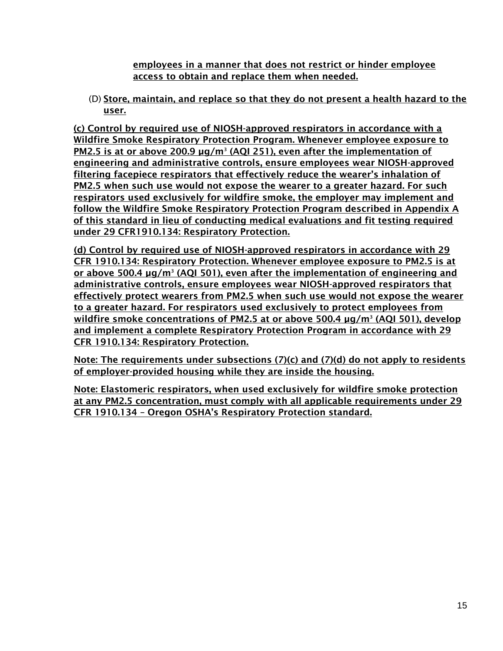employees in a manner that does not restrict or hinder employee access to obtain and replace them when needed.

(D) Store, maintain, and replace so that they do not present a health hazard to the user.

(c) Control by required use of NIOSH-approved respirators in accordance with a Wildfire Smoke Respiratory Protection Program. Whenever employee exposure to PM2.5 is at or above 200.9 µg/m<sup>3</sup> (AQI 251), even after the implementation of engineering and administrative controls, ensure employees wear NIOSH-approved filtering facepiece respirators that effectively reduce the wearer's inhalation of PM2.5 when such use would not expose the wearer to a greater hazard. For such respirators used exclusively for wildfire smoke, the employer may implement and follow the Wildfire Smoke Respiratory Protection Program described in Appendix A of this standard in lieu of conducting medical evaluations and fit testing required under 29 CFR1910.134: Respiratory Protection.

(d) Control by required use of NIOSH-approved respirators in accordance with 29 CFR 1910.134: Respiratory Protection. Whenever employee exposure to PM2.5 is at or above 500.4 µg/m<sup>3</sup> (AQI 501), even after the implementation of engineering and administrative controls, ensure employees wear NIOSH-approved respirators that effectively protect wearers from PM2.5 when such use would not expose the wearer to a greater hazard. For respirators used exclusively to protect employees from wildfire smoke concentrations of PM2.5 at or above 500.4 µg/m<sup>3</sup> (AQI 501), develop and implement a complete Respiratory Protection Program in accordance with 29 CFR 1910.134: Respiratory Protection.

Note: The requirements under subsections (7)(c) and (7)(d) do not apply to residents of employer-provided housing while they are inside the housing.

Note: Elastomeric respirators, when used exclusively for wildfire smoke protection at any PM2.5 concentration, must comply with all applicable requirements under 29 CFR 1910.134 – Oregon OSHA's Respiratory Protection standard.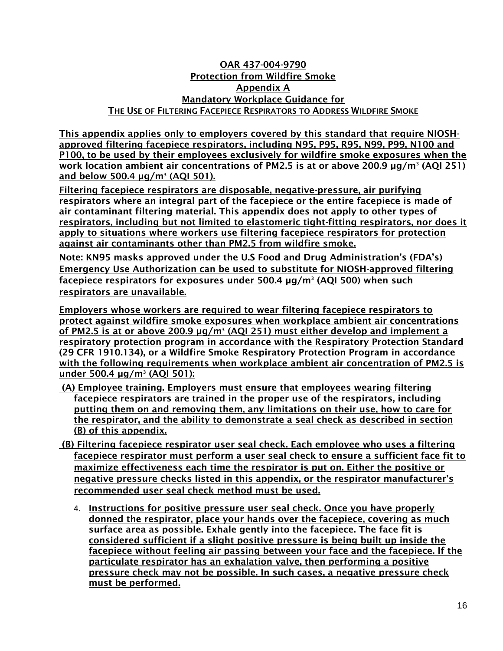### OAR 437-004-9790 Protection from Wildfire Smoke Appendix A Mandatory Workplace Guidance for THE USE OF FILTERING FACEPIECE RESPIRATORS TO ADDRESS WILDFIRE SMOKE

This appendix applies only to employers covered by this standard that require NIOSHapproved filtering facepiece respirators, including N95, P95, R95, N99, P99, N100 and P100, to be used by their employees exclusively for wildfire smoke exposures when the work location ambient air concentrations of PM2.5 is at or above 200.9 µg/m<sup>3</sup> (AQI 251) and below 500.4 µg/m<sup>3</sup> (AQI 501).

Filtering facepiece respirators are disposable, negative-pressure, air purifying respirators where an integral part of the facepiece or the entire facepiece is made of air contaminant filtering material. This appendix does not apply to other types of respirators, including but not limited to elastomeric tight-fitting respirators, nor does it apply to situations where workers use filtering facepiece respirators for protection against air contaminants other than PM2.5 from wildfire smoke.

Note: KN95 masks approved under the U.S Food and Drug Administration's (FDA's) Emergency Use Authorization can be used to substitute for NIOSH-approved filtering facepiece respirators for exposures under 500.4 µg/m<sup>3</sup> (AQI 500) when such respirators are unavailable.

Employers whose workers are required to wear filtering facepiece respirators to protect against wildfire smoke exposures when workplace ambient air concentrations of PM2.5 is at or above 200.9 µg/m<sup>3</sup> (AQI 251) must either develop and implement a respiratory protection program in accordance with the Respiratory Protection Standard (29 CFR 1910.134), or a Wildfire Smoke Respiratory Protection Program in accordance with the following requirements when workplace ambient air concentration of PM2.5 is under 500.4 µg/m<sup>3</sup> (AQI 501):

- (A) Employee training. Employers must ensure that employees wearing filtering facepiece respirators are trained in the proper use of the respirators, including putting them on and removing them, any limitations on their use, how to care for the respirator, and the ability to demonstrate a seal check as described in section (B) of this appendix.
- (B) Filtering facepiece respirator user seal check. Each employee who uses a filtering facepiece respirator must perform a user seal check to ensure a sufficient face fit to maximize effectiveness each time the respirator is put on. Either the positive or negative pressure checks listed in this appendix, or the respirator manufacturer's recommended user seal check method must be used.
	- 4. Instructions for positive pressure user seal check. Once you have properly donned the respirator, place your hands over the facepiece, covering as much surface area as possible. Exhale gently into the facepiece. The face fit is considered sufficient if a slight positive pressure is being built up inside the facepiece without feeling air passing between your face and the facepiece. If the particulate respirator has an exhalation valve, then performing a positive pressure check may not be possible. In such cases, a negative pressure check must be performed.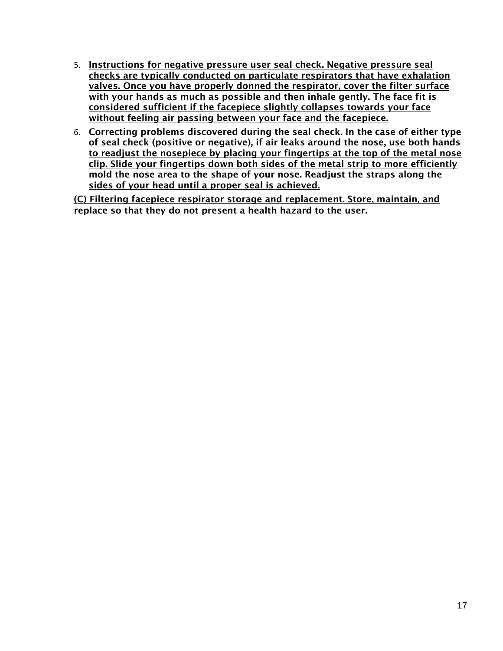- 5. Instructions for negative pressure user seal check. Negative pressure seal checks are typically conducted on particulate respirators that have exhalation valves. Once you have properly donned the respirator, cover the filter surface with your hands as much as possible and then inhale gently. The face fit is considered sufficient if the facepiece slightly collapses towards your face without feeling air passing between your face and the facepiece.
- 6. Correcting problems discovered during the seal check. In the case of either type of seal check (positive or negative), if air leaks around the nose, use both hands to readjust the nosepiece by placing your fingertips at the top of the metal nose clip. Slide your fingertips down both sides of the metal strip to more efficiently mold the nose area to the shape of your nose. Readjust the straps along the sides of your head until a proper seal is achieved.

(C) Filtering facepiece respirator storage and replacement. Store, maintain, and replace so that they do not present a health hazard to the user.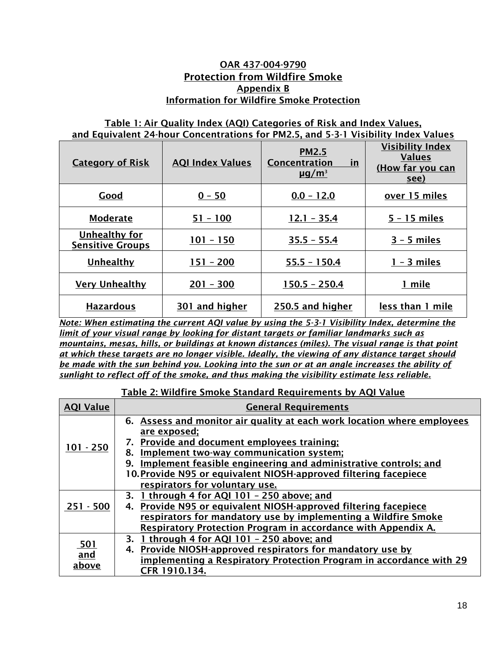### OAR 437-004-9790 Protection from Wildfire Smoke Appendix B Information for Wildfire Smoke Protection

### Table 1: Air Quality Index (AQI) Categories of Risk and Index Values, and Equivalent 24-hour Concentrations for PM2.5, and 5-3-1 Visibility Index Values

| <b>Category of Risk</b>                  | <b>AQI Index Values</b> | <b>PM2.5</b><br>Concentration<br>in<br>$\mu$ g/m <sup>3</sup> | <b>Visibility Index</b><br><b>Values</b><br>(How far you can<br>see) |
|------------------------------------------|-------------------------|---------------------------------------------------------------|----------------------------------------------------------------------|
| Good                                     | $0 - 50$                | $0.0 - 12.0$                                                  | over 15 miles                                                        |
| <b>Moderate</b>                          | $51 - 100$              | $12.1 - 35.4$                                                 | $5 - 15$ miles                                                       |
| Unhealthy for<br><b>Sensitive Groups</b> | $101 - 150$             | $35.5 - 55.4$                                                 | $3 - 5$ miles                                                        |
| Unhealthy                                | $151 - 200$             | $55.5 - 150.4$                                                | $1 - 3$ miles                                                        |
| <b>Very Unhealthy</b>                    | $201 - 300$             | $150.5 - 250.4$                                               | 1 mile                                                               |
| <b>Hazardous</b>                         | 301 and higher          | 250.5 and higher                                              | less than 1 mile                                                     |

*Note: When estimating the current AQI value by using the 5-3-1 Visibility Index, determine the limit of your visual range by looking for distant targets or familiar landmarks such as mountains, mesas, hills, or buildings at known distances (miles). The visual range is that point at which these targets are no longer visible. Ideally, the viewing of any distance target should be made with the sun behind you. Looking into the sun or at an angle increases the ability of sunlight to reflect off of the smoke, and thus making the visibility estimate less reliable.*

### Table 2: Wildfire Smoke Standard Requirements by AQI Value

| <b>AQI Value</b>    | <b>General Requirements</b>                                                                                                                                                                                                                                                                                                                                                   |  |  |
|---------------------|-------------------------------------------------------------------------------------------------------------------------------------------------------------------------------------------------------------------------------------------------------------------------------------------------------------------------------------------------------------------------------|--|--|
| $101 - 250$         | 6. Assess and monitor air quality at each work location where employees<br><u>are exposed;</u><br>7. Provide and document employees training;<br>Implement two-way communication system;<br>8.<br>Implement feasible engineering and administrative controls; and<br>9.<br>10. Provide N95 or equivalent NIOSH-approved filtering facepiece<br>respirators for voluntary use. |  |  |
| $251 - 500$         | 3. 1 through 4 for AQI 101 - 250 above; and<br>4. Provide N95 or equivalent NIOSH-approved filtering facepiece<br>respirators for mandatory use by implementing a Wildfire Smoke<br><b>Respiratory Protection Program in accordance with Appendix A.</b>                                                                                                                      |  |  |
| 501<br>and<br>above | 3. 1 through 4 for AQI 101 - 250 above; and<br>4. Provide NIOSH-approved respirators for mandatory use by<br>implementing a Respiratory Protection Program in accordance with 29<br>CFR 1910.134.                                                                                                                                                                             |  |  |